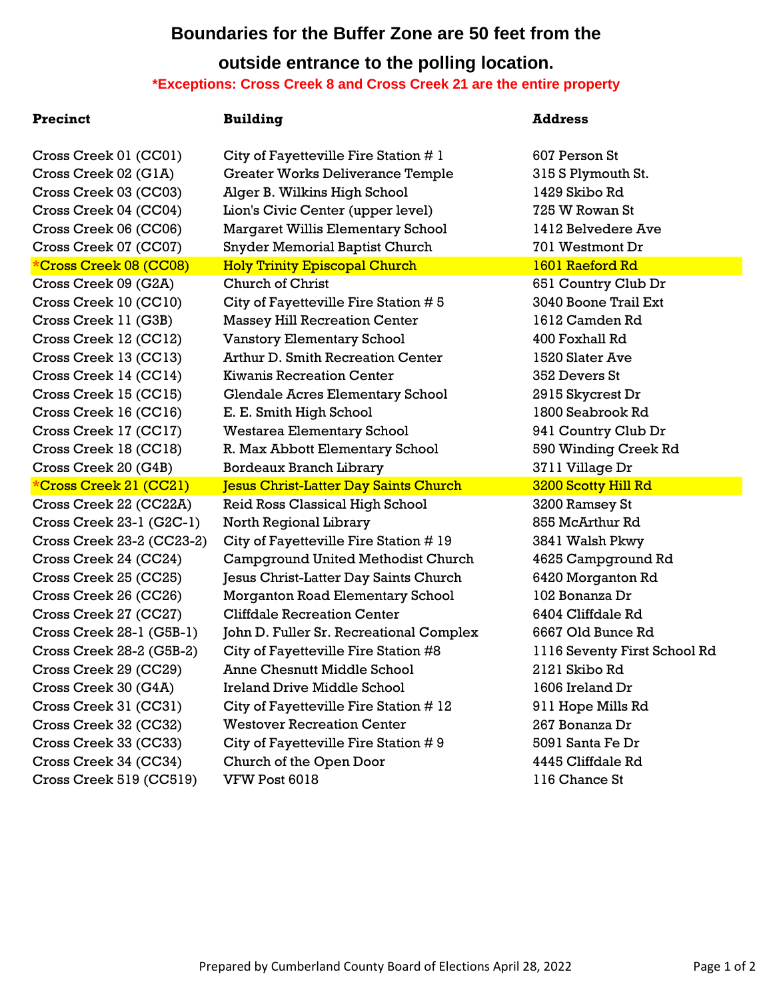# **Boundaries for the Buffer Zone are 50 feet from the**

# **outside entrance to the polling location. \*Exceptions: Cross Creek 8 and Cross Creek 21 are the entire property**

### **Precinct Building Address**

Cross Creek 01 (CC01) City of Fayetteville Fire Station # 1 607 Person St Cross Creek 02 (G1A) Greater Works Deliverance Temple 315 S Plymouth St. Cross Creek 03 (CC03) Alger B. Wilkins High School 1429 Skibo Rd Cross Creek 04 (CC04) Lion's Civic Center (upper level) 725 W Rowan St Cross Creek 06 (CC06) Margaret Willis Elementary School 1412 Belvedere Ave Cross Creek 07 (CC07) Snyder Memorial Baptist Church 701 Westmont Dr \*Cross Creek 08 (CC08) Holy Trinity Episcopal Church 1601 Raeford Rd Cross Creek 09 (G2A) Church of Christ 651 Country Club Dr Cross Creek 10 (CC10) City of Fayetteville Fire Station  $\# 5$  3040 Boone Trail Ext Cross Creek 11 (G3B) Massey Hill Recreation Center 1612 Camden Rd Cross Creek 12 (CC12) Vanstory Elementary School 400 Foxhall Rd Cross Creek 13 (CC13) Arthur D. Smith Recreation Center 1520 Slater Ave Cross Creek 14 (CC14) Kiwanis Recreation Center 352 Devers St Cross Creek 15 (CC15) Glendale Acres Elementary School 2915 Skycrest Dr Cross Creek 16 (CC16) E. E. Smith High School 1800 Seabrook Rd Cross Creek 17 (CC17) Westarea Elementary School 941 Country Club Dr Cross Creek 18 (CC18) R. Max Abbott Elementary School 590 Winding Creek Rd Cross Creek 20 (G4B) Bordeaux Branch Library 3711 Village Dr \*Cross Creek 21 (CC21) Jesus Christ-Latter Day Saints Church 3200 Scotty Hill Rd Cross Creek 22 (CC22A) Reid Ross Classical High School 3200 Ramsey St Cross Creek 23-1 (G2C-1) North Regional Library 855 McArthur Rd Cross Creek 23-2 (CC23-2) City of Fayetteville Fire Station # 19 3841 Walsh Pkwy Cross Creek 24 (CC24) Campground United Methodist Church 4625 Campground Rd Cross Creek 25 (CC25) Jesus Christ-Latter Day Saints Church 6420 Morganton Rd Cross Creek 26 (CC26) Morganton Road Elementary School 102 Bonanza Dr Cross Creek 27 (CC27) Cliffdale Recreation Center 6404 Cliffdale Rd Cross Creek 28-1 (G5B-1) John D. Fuller Sr. Recreational Complex 6667 Old Bunce Rd Cross Creek 28-2 (G5B-2) City of Fayetteville Fire Station #8 1116 Seventy First School Rd Cross Creek 29 (CC29) Anne Chesnutt Middle School 2121 Skibo Rd Cross Creek 30 (G4A) Ireland Drive Middle School 1606 Ireland Dr Cross Creek 31 (CC31) City of Fayetteville Fire Station # 12 911 Hope Mills Rd Cross Creek 32 (CC32) Westover Recreation Center 267 Bonanza Dr Cross Creek 33 (CC33) City of Fayetteville Fire Station # 9 5091 Santa Fe Dr Cross Creek 34 (CC34) Church of the Open Door 4445 Cliffdale Rd Cross Creek 519 (CC519) VFW Post 6018 116 Chance St